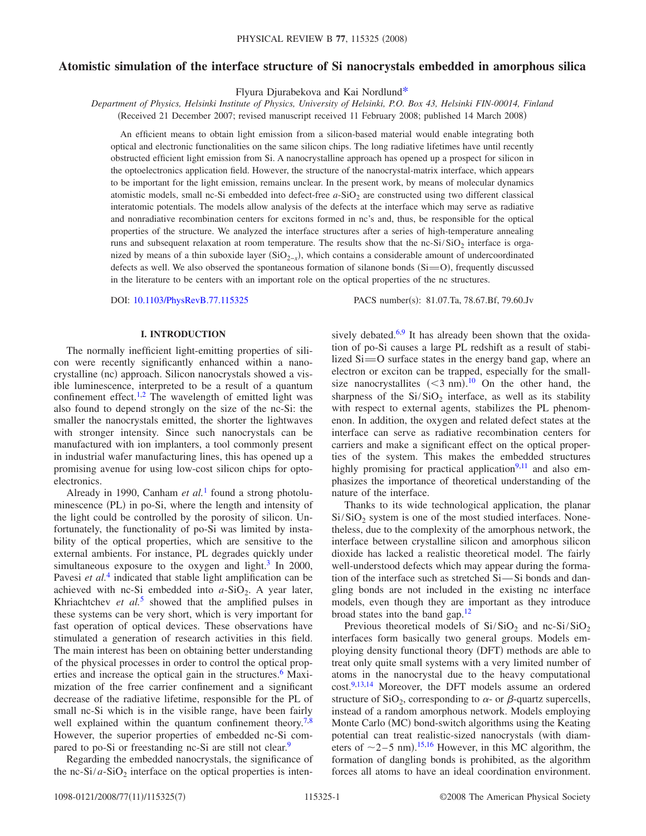# **Atomistic simulation of the interface structure of Si nanocrystals embedded in amorphous silica**

Flyura Djurabekova and Kai Nordlun[d\\*](#page-6-0)

*Department of Physics, Helsinki Institute of Physics, University of Helsinki, P.O. Box 43, Helsinki FIN-00014, Finland* (Received 21 December 2007; revised manuscript received 11 February 2008; published 14 March 2008)

An efficient means to obtain light emission from a silicon-based material would enable integrating both optical and electronic functionalities on the same silicon chips. The long radiative lifetimes have until recently obstructed efficient light emission from Si. A nanocrystalline approach has opened up a prospect for silicon in the optoelectronics application field. However, the structure of the nanocrystal-matrix interface, which appears to be important for the light emission, remains unclear. In the present work, by means of molecular dynamics atomistic models, small nc-Si embedded into defect-free *a*-SiO<sub>2</sub> are constructed using two different classical interatomic potentials. The models allow analysis of the defects at the interface which may serve as radiative and nonradiative recombination centers for excitons formed in nc's and, thus, be responsible for the optical properties of the structure. We analyzed the interface structures after a series of high-temperature annealing runs and subsequent relaxation at room temperature. The results show that the nc-Si/SiO<sub>2</sub> interface is organized by means of a thin suboxide layer (SiO<sub>2-x</sub>), which contains a considerable amount of undercoordinated defects as well. We also observed the spontaneous formation of silanone bonds  $(S_i=O)$ , frequently discussed in the literature to be centers with an important role on the optical properties of the nc structures.

DOI: [10.1103/PhysRevB.77.115325](http://dx.doi.org/10.1103/PhysRevB.77.115325)

PACS number(s): 81.07.Ta, 78.67.Bf, 79.60.Jv

## **I. INTRODUCTION**

The normally inefficient light-emitting properties of silicon were recently significantly enhanced within a nanocrystalline (nc) approach. Silicon nanocrystals showed a visible luminescence, interpreted to be a result of a quantum confinement effect.<sup>1,[2](#page-6-2)</sup> The wavelength of emitted light was also found to depend strongly on the size of the nc-Si: the smaller the nanocrystals emitted, the shorter the lightwaves with stronger intensity. Since such nanocrystals can be manufactured with ion implanters, a tool commonly present in industrial wafer manufacturing lines, this has opened up a promising avenue for using low-cost silicon chips for optoelectronics.

Already in 1990, Canham *et al.*[1](#page-6-1) found a strong photoluminescence (PL) in po-Si, where the length and intensity of the light could be controlled by the porosity of silicon. Unfortunately, the functionality of po-Si was limited by instability of the optical properties, which are sensitive to the external ambients. For instance, PL degrades quickly under simultaneous exposure to the oxygen and light. $3 \text{ In } 2000$ , Pavesi *et al.*<sup>[4](#page-6-4)</sup> indicated that stable light amplification can be achieved with nc-Si embedded into  $a-SiO<sub>2</sub>$ . A year later, Khriachtchev *et al.*<sup>[5](#page-6-5)</sup> showed that the amplified pulses in these systems can be very short, which is very important for fast operation of optical devices. These observations have stimulated a generation of research activities in this field. The main interest has been on obtaining better understanding of the physical processes in order to control the optical properties and increase the optical gain in the structures.<sup>6</sup> Maximization of the free carrier confinement and a significant decrease of the radiative lifetime, responsible for the PL of small nc-Si which is in the visible range, have been fairly well explained within the quantum confinement theory.<sup>7,</sup> However, the superior properties of embedded nc-Si compared to po-Si or freestanding nc-Si are still not clear.<sup>9</sup>

Regarding the embedded nanocrystals, the significance of the nc-Si/ $a$ -SiO<sub>2</sub> interface on the optical properties is intensively debated. $6,9$  $6,9$  It has already been shown that the oxidation of po-Si causes a large PL redshift as a result of stabilized  $Si=O$  surface states in the energy band gap, where an electron or exciton can be trapped, especially for the smallsize nanocrystallites  $(< 3$  nm).<sup>[10](#page-6-10)</sup> On the other hand, the sharpness of the  $Si/SiO<sub>2</sub>$  interface, as well as its stability with respect to external agents, stabilizes the PL phenomenon. In addition, the oxygen and related defect states at the interface can serve as radiative recombination centers for carriers and make a significant effect on the optical properties of the system. This makes the embedded structures highly promising for practical application $9,11$  $9,11$  and also emphasizes the importance of theoretical understanding of the nature of the interface.

Thanks to its wide technological application, the planar  $Si/SiO<sub>2</sub>$  system is one of the most studied interfaces. Nonetheless, due to the complexity of the amorphous network, the interface between crystalline silicon and amorphous silicon dioxide has lacked a realistic theoretical model. The fairly well-understood defects which may appear during the formation of the interface such as stretched  $Si$ — $Si$  bonds and dangling bonds are not included in the existing nc interface models, even though they are important as they introduce broad states into the band gap.<sup>12</sup>

Previous theoretical models of  $Si/SiO<sub>2</sub>$  and nc-Si/SiO<sub>2</sub> interfaces form basically two general groups. Models employing density functional theory (DFT) methods are able to treat only quite small systems with a very limited number of atoms in the nanocrystal due to the heavy computational cost.<sup>9,[13](#page-6-13)[,14](#page-6-14)</sup> Moreover, the DFT models assume an ordered structure of  $SiO_2$ , corresponding to  $\alpha$ - or  $\beta$ -quartz supercells, instead of a random amorphous network. Models employing Monte Carlo (MC) bond-switch algorithms using the Keating potential can treat realistic-sized nanocrystals (with diameters of  $\sim$ 2–5 nm).<sup>[15](#page-6-15)[,16](#page-6-16)</sup> However, in this MC algorithm, the formation of dangling bonds is prohibited, as the algorithm forces all atoms to have an ideal coordination environment.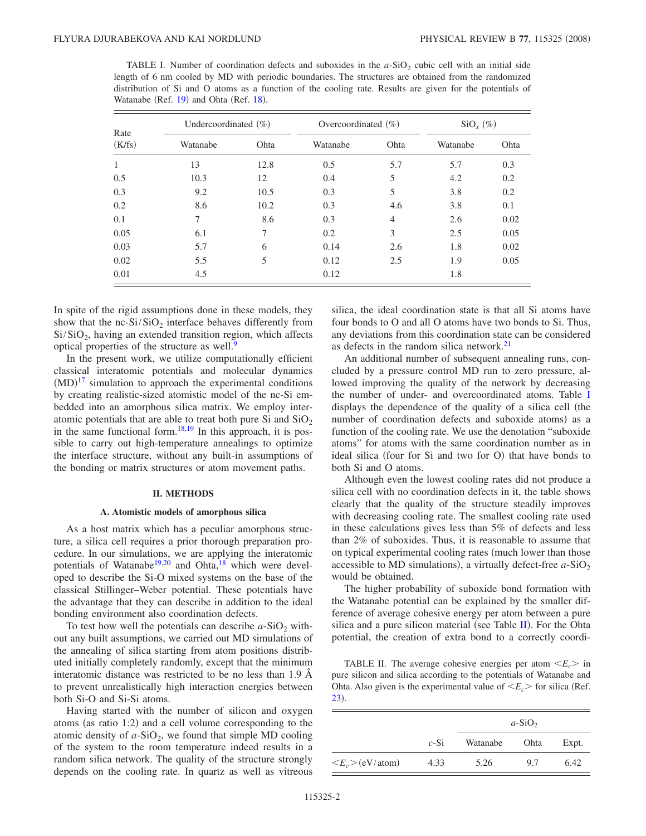<span id="page-1-0"></span>TABLE I. Number of coordination defects and suboxides in the  $a$ -SiO<sub>2</sub> cubic cell with an initial side length of 6 nm cooled by MD with periodic boundaries. The structures are obtained from the randomized distribution of Si and O atoms as a function of the cooling rate. Results are given for the potentials of Watanabe (Ref. [19](#page-6-19)) and Ohta (Ref. [18](#page-6-18)).

| Rate<br>(K/fs) | Undercoordinated $(\%)$ |      | Overcoordinated $(\%)$ |                | $\mathrm{SiO}_{x}$ (%) |      |
|----------------|-------------------------|------|------------------------|----------------|------------------------|------|
|                | Watanabe                | Ohta | Watanabe               | Ohta           | Watanabe               | Ohta |
| 1              | 13                      | 12.8 | 0.5                    | 5.7            | 5.7                    | 0.3  |
| 0.5            | 10.3                    | 12   | 0.4                    | 5              | 4.2                    | 0.2  |
| 0.3            | 9.2                     | 10.5 | 0.3                    | 5              | 3.8                    | 0.2  |
| 0.2            | 8.6                     | 10.2 | 0.3                    | 4.6            | 3.8                    | 0.1  |
| 0.1            | 7                       | 8.6  | 0.3                    | $\overline{4}$ | 2.6                    | 0.02 |
| 0.05           | 6.1                     | 7    | 0.2                    | 3              | 2.5                    | 0.05 |
| 0.03           | 5.7                     | 6    | 0.14                   | 2.6            | 1.8                    | 0.02 |
| 0.02           | 5.5                     | 5    | 0.12                   | 2.5            | 1.9                    | 0.05 |
| 0.01           | 4.5                     |      | 0.12                   |                | 1.8                    |      |

In spite of the rigid assumptions done in these models, they show that the nc- $Si/SiO<sub>2</sub>$  interface behaves differently from  $Si/SiO<sub>2</sub>$ , having an extended transition region, which affects optical properties of the structure as well.<sup>9</sup>

In the present work, we utilize computationally efficient classical interatomic potentials and molecular dynamics  $(MD)^{17}$  $(MD)^{17}$  $(MD)^{17}$  simulation to approach the experimental conditions by creating realistic-sized atomistic model of the nc-Si embedded into an amorphous silica matrix. We employ interatomic potentials that are able to treat both pure Si and  $SiO<sub>2</sub>$ in the same functional form.<sup>18[,19](#page-6-19)</sup> In this approach, it is possible to carry out high-temperature annealings to optimize the interface structure, without any built-in assumptions of the bonding or matrix structures or atom movement paths.

## **II. METHODS**

#### **A. Atomistic models of amorphous silica**

As a host matrix which has a peculiar amorphous structure, a silica cell requires a prior thorough preparation procedure. In our simulations, we are applying the interatomic potentials of Watanabe<sup>19[,20](#page-6-20)</sup> and Ohta,<sup>18</sup> which were developed to describe the Si-O mixed systems on the base of the classical Stillinger–Weber potential. These potentials have the advantage that they can describe in addition to the ideal bonding environment also coordination defects.

To test how well the potentials can describe  $a$ -SiO<sub>2</sub> without any built assumptions, we carried out MD simulations of the annealing of silica starting from atom positions distributed initially completely randomly, except that the minimum interatomic distance was restricted to be no less than 1.9 Å to prevent unrealistically high interaction energies between both Si-O and Si-Si atoms.

Having started with the number of silicon and oxygen atoms (as ratio 1:2) and a cell volume corresponding to the atomic density of  $a$ -SiO<sub>2</sub>, we found that simple MD cooling of the system to the room temperature indeed results in a random silica network. The quality of the structure strongly depends on the cooling rate. In quartz as well as vitreous silica, the ideal coordination state is that all Si atoms have four bonds to O and all O atoms have two bonds to Si. Thus, any deviations from this coordination state can be considered as defects in the random silica network[.21](#page-6-21)

An additional number of subsequent annealing runs, concluded by a pressure control MD run to zero pressure, allowed improving the quality of the network by decreasing the number of under- and overcoordinated atoms. Table [I](#page-1-0) displays the dependence of the quality of a silica cell (the number of coordination defects and suboxide atoms) as a function of the cooling rate. We use the denotation "suboxide atoms" for atoms with the same coordination number as in ideal silica (four for Si and two for O) that have bonds to both Si and O atoms.

Although even the lowest cooling rates did not produce a silica cell with no coordination defects in it, the table shows clearly that the quality of the structure steadily improves with decreasing cooling rate. The smallest cooling rate used in these calculations gives less than 5% of defects and less than 2% of suboxides. Thus, it is reasonable to assume that on typical experimental cooling rates (much lower than those accessible to MD simulations), a virtually defect-free  $a$ -SiO<sub>2</sub> would be obtained.

The higher probability of suboxide bond formation with the Watanabe potential can be explained by the smaller difference of average cohesive energy per atom between a pure silica and a pure silicon material (see Table  $II$ ). For the Ohta potential, the creation of extra bond to a correctly coordi-

<span id="page-1-1"></span>TABLE II. The average cohesive energies per atom  $\langle E_c \rangle$  in pure silicon and silica according to the potentials of Watanabe and Ohta. Also given is the experimental value of  $\langle E_c \rangle$  for silica (Ref. [23](#page-6-22)).

|                                 |        | $a-SiO2$ |             |       |
|---------------------------------|--------|----------|-------------|-------|
|                                 | $c-Si$ | Watanabe | <b>Ohta</b> | Expt. |
| $\langle E_c \rangle$ (eV/atom) | 4.33   | 5.26     | 9.7         | 6.42  |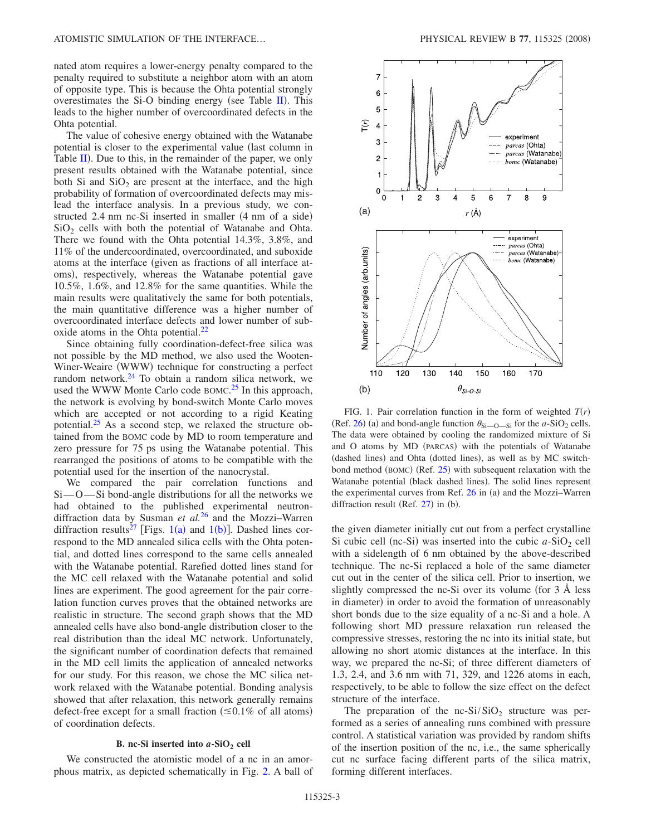nated atom requires a lower-energy penalty compared to the penalty required to substitute a neighbor atom with an atom of opposite type. This is because the Ohta potential strongly overestimates the Si-O binding energy (see Table  $II$ ). This leads to the higher number of overcoordinated defects in the Ohta potential.

The value of cohesive energy obtained with the Watanabe potential is closer to the experimental value (last column in Table  $\overline{II}$  $\overline{II}$  $\overline{II}$ ). Due to this, in the remainder of the paper, we only present results obtained with the Watanabe potential, since both Si and  $SiO<sub>2</sub>$  are present at the interface, and the high probability of formation of overcoordinated defects may mislead the interface analysis. In a previous study, we constructed 2.4 nm nc-Si inserted in smaller (4 nm of a side)  $SiO<sub>2</sub>$  cells with both the potential of Watanabe and Ohta. There we found with the Ohta potential 14.3%, 3.8%, and 11% of the undercoordinated, overcoordinated, and suboxide atoms at the interface given as fractions of all interface atoms), respectively, whereas the Watanabe potential gave 10.5%, 1.6%, and 12.8% for the same quantities. While the main results were qualitatively the same for both potentials, the main quantitative difference was a higher number of overcoordinated interface defects and lower number of suboxide atoms in the Ohta potential.<sup>22</sup>

Since obtaining fully coordination-defect-free silica was not possible by the MD method, we also used the Wooten-Winer-Weaire (WWW) technique for constructing a perfect random network. $24$  To obtain a random silica network, we used the WWW Monte Carlo code BOMC.<sup>[25](#page-6-25)</sup> In this approach, the network is evolving by bond-switch Monte Carlo moves which are accepted or not according to a rigid Keating potential. $25$  As a second step, we relaxed the structure obtained from the BOMC code by MD to room temperature and zero pressure for 75 ps using the Watanabe potential. This rearranged the positions of atoms to be compatible with the potential used for the insertion of the nanocrystal.

We compared the pair correlation functions and  $Si$   $\sim$   $O$   $\sim$   $Si$  bond-angle distributions for all the networks we had obtained to the published experimental neutrondiffraction data by Susman *et al.*[26](#page-6-26) and the Mozzi–Warren diffraction results<sup>27</sup> [Figs. [1](#page-2-0)(a) and 1(b)]. Dashed lines correspond to the MD annealed silica cells with the Ohta potential, and dotted lines correspond to the same cells annealed with the Watanabe potential. Rarefied dotted lines stand for the MC cell relaxed with the Watanabe potential and solid lines are experiment. The good agreement for the pair correlation function curves proves that the obtained networks are realistic in structure. The second graph shows that the MD annealed cells have also bond-angle distribution closer to the real distribution than the ideal MC network. Unfortunately, the significant number of coordination defects that remained in the MD cell limits the application of annealed networks for our study. For this reason, we chose the MC silica network relaxed with the Watanabe potential. Bonding analysis showed that after relaxation, this network generally remains defect-free except for a small fraction  $(\leq 0.1\%$  of all atoms) of coordination defects.

#### **B.** nc-Si inserted into  $a$ -SiO<sub>2</sub> cell

We constructed the atomistic model of a nc in an amorphous matrix, as depicted schematically in Fig. [2.](#page-3-0) A ball of

<span id="page-2-0"></span>

FIG. 1. Pair correlation function in the form of weighted  $T(r)$ (Ref. [26](#page-6-26)) (a) and bond-angle function  $\theta_{\text{Si}-\text{O}-\text{Si}}$  for the *a*-SiO<sub>2</sub> cells. The data were obtained by cooling the randomized mixture of Si and O atoms by MD (PARCAS) with the potentials of Watanabe (dashed lines) and Ohta (dotted lines), as well as by MC switch-bond method (BOMC) (Ref. [25](#page-6-25)) with subsequent relaxation with the Watanabe potential (black dashed lines). The solid lines represent the experimental curves from Ref. [26](#page-6-26) in (a) and the Mozzi-Warren diffraction result (Ref.  $27$ ) in (b).

the given diameter initially cut out from a perfect crystalline Si cubic cell (nc-Si) was inserted into the cubic  $a$ -SiO<sub>2</sub> cell with a sidelength of 6 nm obtained by the above-described technique. The nc-Si replaced a hole of the same diameter cut out in the center of the silica cell. Prior to insertion, we slightly compressed the nc-Si over its volume (for 3 Å less in diameter) in order to avoid the formation of unreasonably short bonds due to the size equality of a nc-Si and a hole. A following short MD pressure relaxation run released the compressive stresses, restoring the nc into its initial state, but allowing no short atomic distances at the interface. In this way, we prepared the nc-Si; of three different diameters of 1.3, 2.4, and 3.6 nm with 71, 329, and 1226 atoms in each, respectively, to be able to follow the size effect on the defect structure of the interface.

The preparation of the nc- $Si/SiO<sub>2</sub>$  structure was performed as a series of annealing runs combined with pressure control. A statistical variation was provided by random shifts of the insertion position of the nc, i.e., the same spherically cut nc surface facing different parts of the silica matrix, forming different interfaces.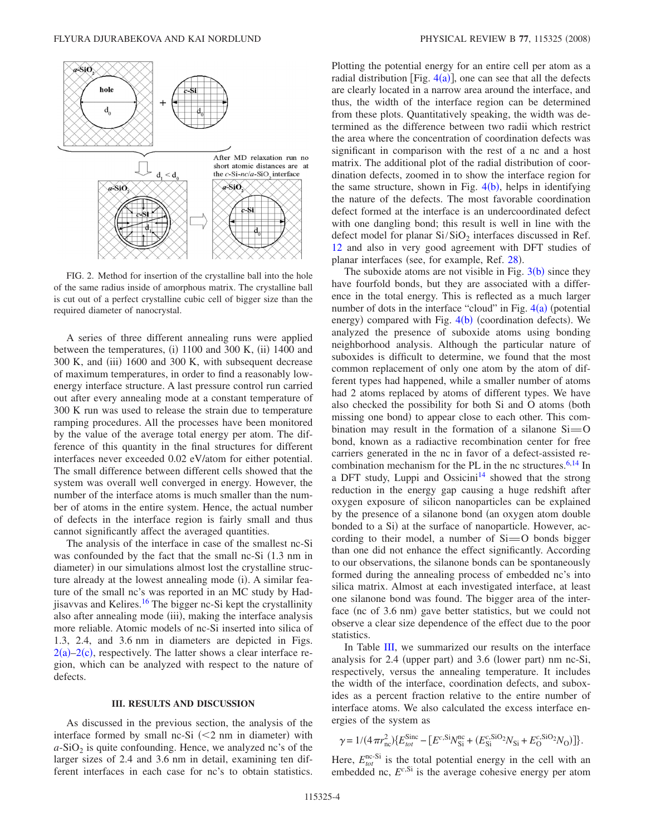<span id="page-3-0"></span>

FIG. 2. Method for insertion of the crystalline ball into the hole of the same radius inside of amorphous matrix. The crystalline ball is cut out of a perfect crystalline cubic cell of bigger size than the required diameter of nanocrystal.

A series of three different annealing runs were applied between the temperatures, (i) 1100 and 300 K, (ii) 1400 and 300 K, and (iii) 1600 and 300 K, with subsequent decrease of maximum temperatures, in order to find a reasonably lowenergy interface structure. A last pressure control run carried out after every annealing mode at a constant temperature of 300 K run was used to release the strain due to temperature ramping procedures. All the processes have been monitored by the value of the average total energy per atom. The difference of this quantity in the final structures for different interfaces never exceeded 0.02 eV/atom for either potential. The small difference between different cells showed that the system was overall well converged in energy. However, the number of the interface atoms is much smaller than the number of atoms in the entire system. Hence, the actual number of defects in the interface region is fairly small and thus cannot significantly affect the averaged quantities.

The analysis of the interface in case of the smallest nc-Si was confounded by the fact that the small nc-Si (1.3 nm in diameter) in our simulations almost lost the crystalline structure already at the lowest annealing mode (i). A similar feature of the small nc's was reported in an MC study by Hadjisavvas and Kelires[.16](#page-6-16) The bigger nc-Si kept the crystallinity also after annealing mode (iii), making the interface analysis more reliable. Atomic models of nc-Si inserted into silica of 1.3, 2.4, and 3.6 nm in diameters are depicted in Figs.  $2(a)-2(c)$  $2(a)-2(c)$ , respectively. The latter shows a clear interface region, which can be analyzed with respect to the nature of defects.

## **III. RESULTS AND DISCUSSION**

As discussed in the previous section, the analysis of the interface formed by small nc-Si  $\left($  < 2 nm in diameter) with  $a$ -SiO<sub>2</sub> is quite confounding. Hence, we analyzed nc's of the larger sizes of 2.4 and 3.6 nm in detail, examining ten different interfaces in each case for nc's to obtain statistics. Plotting the potential energy for an entire cell per atom as a radial distribution [Fig.  $4(a)$  $4(a)$ ], one can see that all the defects are clearly located in a narrow area around the interface, and thus, the width of the interface region can be determined from these plots. Quantitatively speaking, the width was determined as the difference between two radii which restrict the area where the concentration of coordination defects was significant in comparison with the rest of a nc and a host matrix. The additional plot of the radial distribution of coordination defects, zoomed in to show the interface region for the same structure, shown in Fig.  $4(b)$  $4(b)$ , helps in identifying the nature of the defects. The most favorable coordination defect formed at the interface is an undercoordinated defect with one dangling bond; this result is well in line with the defect model for planar  $Si/SiO<sub>2</sub>$  interfaces discussed in Ref. [12](#page-6-12) and also in very good agreement with DFT studies of planar interfaces (see, for example, Ref. [28](#page-6-28)).

The suboxide atoms are not visible in Fig.  $3(b)$  $3(b)$  since they have fourfold bonds, but they are associated with a difference in the total energy. This is reflected as a much larger number of dots in the interface "cloud" in Fig.  $4(a)$  $4(a)$  (potential energy) compared with Fig. [4](#page-4-0)(b) (coordination defects). We analyzed the presence of suboxide atoms using bonding neighborhood analysis. Although the particular nature of suboxides is difficult to determine, we found that the most common replacement of only one atom by the atom of different types had happened, while a smaller number of atoms had 2 atoms replaced by atoms of different types. We have also checked the possibility for both Si and O atoms (both missing one bond) to appear close to each other. This combination may result in the formation of a silanone  $Si=O$ bond, known as a radiactive recombination center for free carriers generated in the nc in favor of a defect-assisted recombination mechanism for the PL in the nc structures. $6,14$  $6,14$  In a DFT study, Luppi and Ossicini<sup>14</sup> showed that the strong reduction in the energy gap causing a huge redshift after oxygen exposure of silicon nanoparticles can be explained by the presence of a silanone bond (an oxygen atom double bonded to a Si) at the surface of nanoparticle. However, according to their model, a number of  $Si=O$  bonds bigger than one did not enhance the effect significantly. According to our observations, the silanone bonds can be spontaneously formed during the annealing process of embedded nc's into silica matrix. Almost at each investigated interface, at least one silanone bond was found. The bigger area of the interface (nc of 3.6 nm) gave better statistics, but we could not observe a clear size dependence of the effect due to the poor statistics.

In Table [III,](#page-5-0) we summarized our results on the interface analysis for 2.4 (upper part) and 3.6 (lower part) nm nc-Si, respectively, versus the annealing temperature. It includes the width of the interface, coordination defects, and suboxides as a percent fraction relative to the entire number of interface atoms. We also calculated the excess interface energies of the system as

$$
\gamma = 1/(4\pi r_{\rm nc}^2) \{ E_{\rm tot}^{\rm Sinc} - [E^{\rm c,Si} N_{\rm Si}^{\rm nc} + (E_{\rm Si}^{\rm c,SiO_2} N_{\rm Si} + E_{\rm O}^{\rm c,SiO_2} N_{\rm O}) ] \}.
$$

Here,  $E_{tot}^{\text{nc-Si}}$  is the total potential energy in the cell with an embedded nc,  $E^{c, Si}$  is the average cohesive energy per atom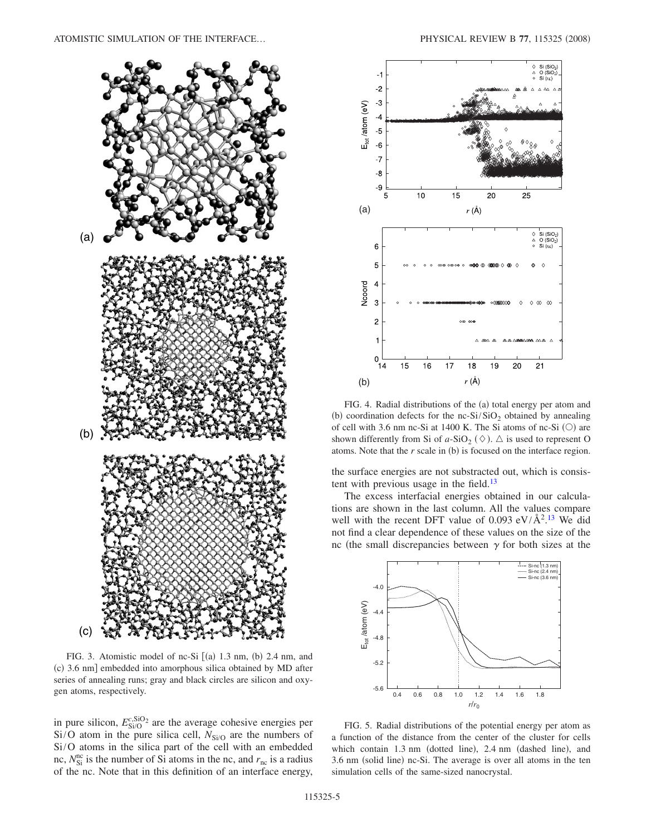<span id="page-4-1"></span>

FIG. 3. Atomistic model of nc-Si  $[(a)$  1.3 nm,  $(b)$  2.4 nm, and (c) 3.6 nm] embedded into amorphous silica obtained by MD after series of annealing runs; gray and black circles are silicon and oxygen atoms, respectively.

in pure silicon,  $E_{\text{Si/O}}^{\text{c,SiO}_2}$  are the average cohesive energies per  $Si/O$  atom in the pure silica cell,  $N_{Si/O}$  are the numbers of Si/O atoms in the silica part of the cell with an embedded nc,  $N_{\rm Si}^{\rm nc}$  is the number of Si atoms in the nc, and  $r_{\rm nc}$  is a radius of the nc. Note that in this definition of an interface energy,

<span id="page-4-0"></span>

FIG. 4. Radial distributions of the (a) total energy per atom and (b) coordination defects for the nc-Si/SiO<sub>2</sub> obtained by annealing of cell with 3.6 nm nc-Si at 1400 K. The Si atoms of nc-Si  $(O)$  are shown differently from Si of  $a$ -SiO<sub>2</sub> ( $\diamond$ ).  $\triangle$  is used to represent O atoms. Note that the  $r$  scale in (b) is focused on the interface region.

the surface energies are not substracted out, which is consistent with previous usage in the field. $13$ 

The excess interfacial energies obtained in our calculations are shown in the last column. All the values compare well with the recent DFT value of  $0.093 \text{ eV}/\text{\AA}^2$ .<sup>[13](#page-6-13)</sup> We did not find a clear dependence of these values on the size of the nc (the small discrepancies between  $\gamma$  for both sizes at the

<span id="page-4-2"></span>

FIG. 5. Radial distributions of the potential energy per atom as a function of the distance from the center of the cluster for cells which contain 1.3 nm (dotted line), 2.4 nm (dashed line), and 3.6 nm (solid line) nc-Si. The average is over all atoms in the ten simulation cells of the same-sized nanocrystal.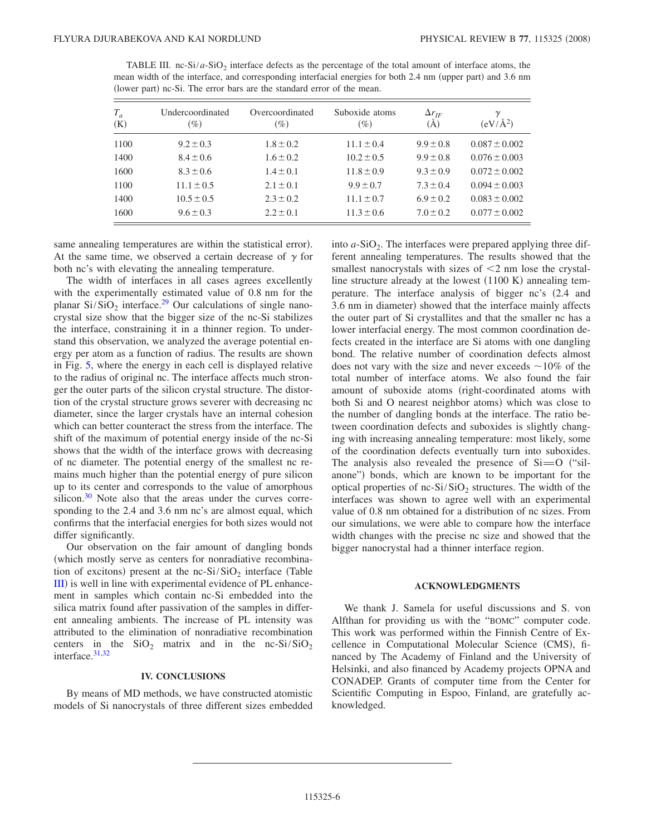<span id="page-5-0"></span>

| TABLE III. nc-Si/a-SiO <sub>2</sub> interface defects as the percentage of the total amount of interface atoms, the |  |  |  |
|---------------------------------------------------------------------------------------------------------------------|--|--|--|
| mean width of the interface, and corresponding interfacial energies for both 2.4 nm (upper part) and 3.6 nm         |  |  |  |
| (lower part) nc-Si. The error bars are the standard error of the mean.                                              |  |  |  |

| $T_a$<br>(K) | Undercoordinated<br>$\mathscr{D}_o$ | Overcoordinated<br>$(\%)$ | Suboxide atoms<br>$(\%)$ | $\Delta r_{IF}$<br>$\rm(\AA)$ | $\gamma$<br>$(eV/\AA^2)$ |
|--------------|-------------------------------------|---------------------------|--------------------------|-------------------------------|--------------------------|
| 1100         | $9.2 \pm 0.3$                       | $1.8 \pm 0.2$             | $11.1 \pm 0.4$           | $9.9 \pm 0.8$                 | $0.087 \pm 0.002$        |
| 1400         | $8.4 \pm 0.6$                       | $1.6 \pm 0.2$             | $10.2 \pm 0.5$           | $9.9 \pm 0.8$                 | $0.076 \pm 0.003$        |
| 1600         | $8.3 \pm 0.6$                       | $1.4 \pm 0.1$             | $11.8 \pm 0.9$           | $9.3 \pm 0.9$                 | $0.072 \pm 0.002$        |
| 1100         | $11.1 \pm 0.5$                      | $2.1 \pm 0.1$             | $9.9 \pm 0.7$            | $7.3 \pm 0.4$                 | $0.094 \pm 0.003$        |
| 1400         | $10.5 \pm 0.5$                      | $2.3 \pm 0.2$             | $11.1 \pm 0.7$           | $6.9 \pm 0.2$                 | $0.083 \pm 0.002$        |
| 1600         | $9.6 \pm 0.3$                       | $2.2 \pm 0.1$             | $11.3 \pm 0.6$           | $7.0 \pm 0.2$                 | $0.077 \pm 0.002$        |

same annealing temperatures are within the statistical error). At the same time, we observed a certain decrease of  $\gamma$  for both nc's with elevating the annealing temperature.

The width of interfaces in all cases agrees excellently with the experimentally estimated value of 0.8 nm for the planar  $Si/SiO<sub>2</sub>$  interface.<sup>29</sup> Our calculations of single nanocrystal size show that the bigger size of the nc-Si stabilizes the interface, constraining it in a thinner region. To understand this observation, we analyzed the average potential energy per atom as a function of radius. The results are shown in Fig. [5,](#page-4-2) where the energy in each cell is displayed relative to the radius of original nc. The interface affects much stronger the outer parts of the silicon crystal structure. The distortion of the crystal structure grows severer with decreasing nc diameter, since the larger crystals have an internal cohesion which can better counteract the stress from the interface. The shift of the maximum of potential energy inside of the nc-Si shows that the width of the interface grows with decreasing of nc diameter. The potential energy of the smallest nc remains much higher than the potential energy of pure silicon up to its center and corresponds to the value of amorphous silicon. $30$  Note also that the areas under the curves corresponding to the 2.4 and 3.6 nm nc's are almost equal, which confirms that the interfacial energies for both sizes would not differ significantly.

Our observation on the fair amount of dangling bonds which mostly serve as centers for nonradiative recombination of excitons) present at the nc-Si/SiO<sub>2</sub> interface (Table [III](#page-5-0)) is well in line with experimental evidence of PL enhancement in samples which contain nc-Si embedded into the silica matrix found after passivation of the samples in different annealing ambients. The increase of PL intensity was attributed to the elimination of nonradiative recombination centers in the  $SiO_2$  matrix and in the nc-Si/SiO<sub>2</sub> interface. $31,32$  $31,32$ 

## **IV. CONCLUSIONS**

By means of MD methods, we have constructed atomistic models of Si nanocrystals of three different sizes embedded into  $a$ -SiO<sub>2</sub>. The interfaces were prepared applying three different annealing temperatures. The results showed that the smallest nanocrystals with sizes of  $\leq$  2 nm lose the crystalline structure already at the lowest  $(1100 K)$  annealing temperature. The interface analysis of bigger nc's 2.4 and 3.6 nm in diameter) showed that the interface mainly affects the outer part of Si crystallites and that the smaller nc has a lower interfacial energy. The most common coordination defects created in the interface are Si atoms with one dangling bond. The relative number of coordination defects almost does not vary with the size and never exceeds  $\sim$ 10% of the total number of interface atoms. We also found the fair amount of suboxide atoms (right-coordinated atoms with both Si and O nearest neighbor atoms) which was close to the number of dangling bonds at the interface. The ratio between coordination defects and suboxides is slightly changing with increasing annealing temperature: most likely, some of the coordination defects eventually turn into suboxides. The analysis also revealed the presence of  $Si=O$  ("silanone") bonds, which are known to be important for the optical properties of nc- $Si/SiO<sub>2</sub>$  structures. The width of the interfaces was shown to agree well with an experimental value of 0.8 nm obtained for a distribution of nc sizes. From our simulations, we were able to compare how the interface width changes with the precise nc size and showed that the bigger nanocrystal had a thinner interface region.

### **ACKNOWLEDGMENTS**

We thank J. Samela for useful discussions and S. von Alfthan for providing us with the "BOMC" computer code. This work was performed within the Finnish Centre of Excellence in Computational Molecular Science (CMS), financed by The Academy of Finland and the University of Helsinki, and also financed by Academy projects OPNA and CONADEP. Grants of computer time from the Center for Scientific Computing in Espoo, Finland, are gratefully acknowledged.